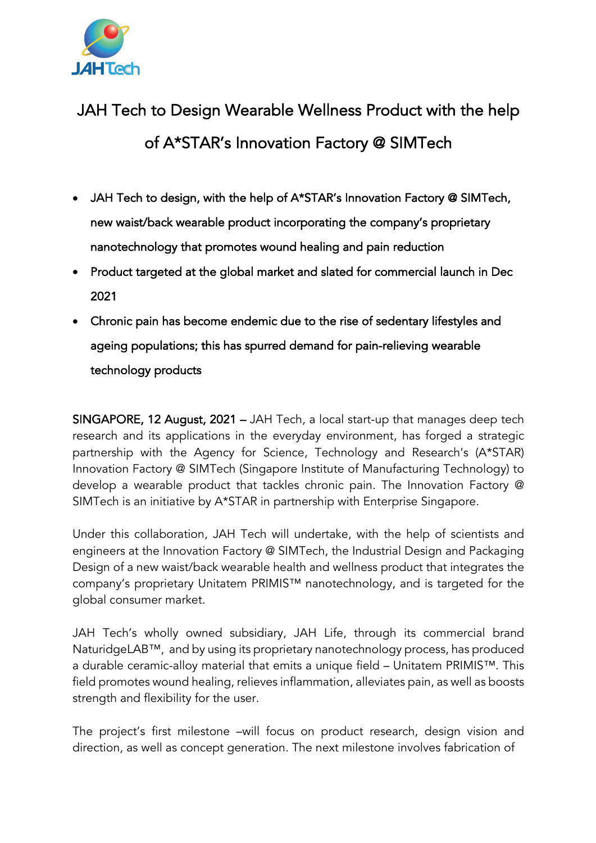

## JAH Tech to Design Wearable Wellness Product with the help of A\*STAR's Innovation Factory @ SIMTech

- JAH Tech to design, with the help of A\*STAR's Innovation Factory @ SIMTech, new waist/back wearable product incorporating the company's proprietary nanotechnology that promotes wound healing and pain reduction
- Product targeted at the global market and slated for commercial launch in Dec 2021
- Chronic pain has become endemic due to the rise of sedentary lifestyles and ageing populations; this has spurred demand for pain-relieving wearable technology products

SINGAPORE, 12 August, 2021 – JAH Tech, a local start-up that manages deep tech research and its applications in the everyday environment, has forged a strategic partnership with the Agency for Science, Technology and Research's (A\*STAR) Innovation Factory @ SIMTech (Singapore Institute of Manufacturing Technology) to develop a wearable product that tackles chronic pain. The Innovation Factory @ SIMTech is an initiative by A\*STAR in partnership with Enterprise Singapore.

Under this collaboration, JAH Tech will undertake, with the help of scientists and engineers at the Innovation Factory @ SIMTech, the Industrial Design and Packaging Design of a new waist/back wearable health and wellness product that integrates the company's proprietary Unitatem PRIMIS™ nanotechnology, and is targeted for the global consumer market.

JAH Tech's wholly owned subsidiary, JAH Life, through its commercial brand NaturidgeLAB™, and by using its proprietary nanotechnology process, has produced a durable ceramic-alloy material that emits a unique field – Unitatem PRIMIS™. This field promotes wound healing, relieves inflammation, alleviates pain, as well as boosts strength and flexibility for the user.

The project's first milestone –will focus on product research, design vision and direction, as well as concept generation. The next milestone involves fabrication of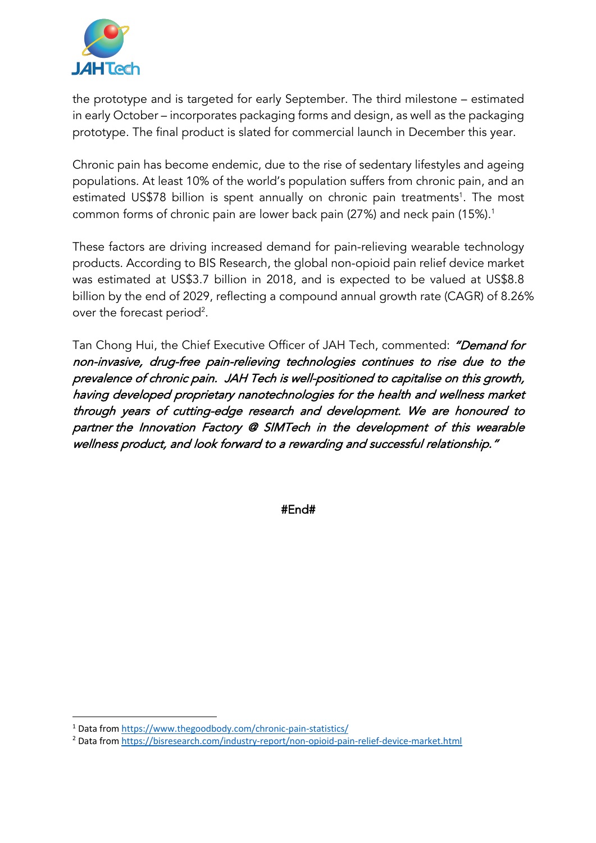

the prototype and is targeted for early September. The third milestone – estimated in early October – incorporates packaging forms and design, as well as the packaging prototype. The final product is slated for commercial launch in December this year.

Chronic pain has become endemic, due to the rise of sedentary lifestyles and ageing populations. At least 10% of the world's population suffers from chronic pain, and an estimated US\$78 billion is spent annually on chronic pain treatments<sup>1</sup>. The most common forms of chronic pain are lower back pain (27%) and neck pain (15%).<sup>1</sup>

These factors are driving increased demand for pain-relieving wearable technology products. According to BIS Research, the global non-opioid pain relief device market was estimated at US\$3.7 billion in 2018, and is expected to be valued at US\$8.8 billion by the end of 2029, reflecting a compound annual growth rate (CAGR) of 8.26% over the forecast period $^2$ .

Tan Chong Hui, the Chief Executive Officer of JAH Tech, commented: "Demand for non-invasive, drug-free pain-relieving technologies continues to rise due to the prevalence of chronic pain. JAH Tech is well-positioned to capitalise on this growth, having developed proprietary nanotechnologies for the health and wellness market through years of cutting-edge research and development. We are honoured to partner the Innovation Factory @ SIMTech in the development of this wearable wellness product, and look forward to a rewarding and successful relationship."

#End#

<sup>1</sup> Data from https://www.thegoodbody.com/chronic-pain-statistics/

<sup>2</sup> Data from https://bisresearch.com/industry-report/non-opioid-pain-relief-device-market.html